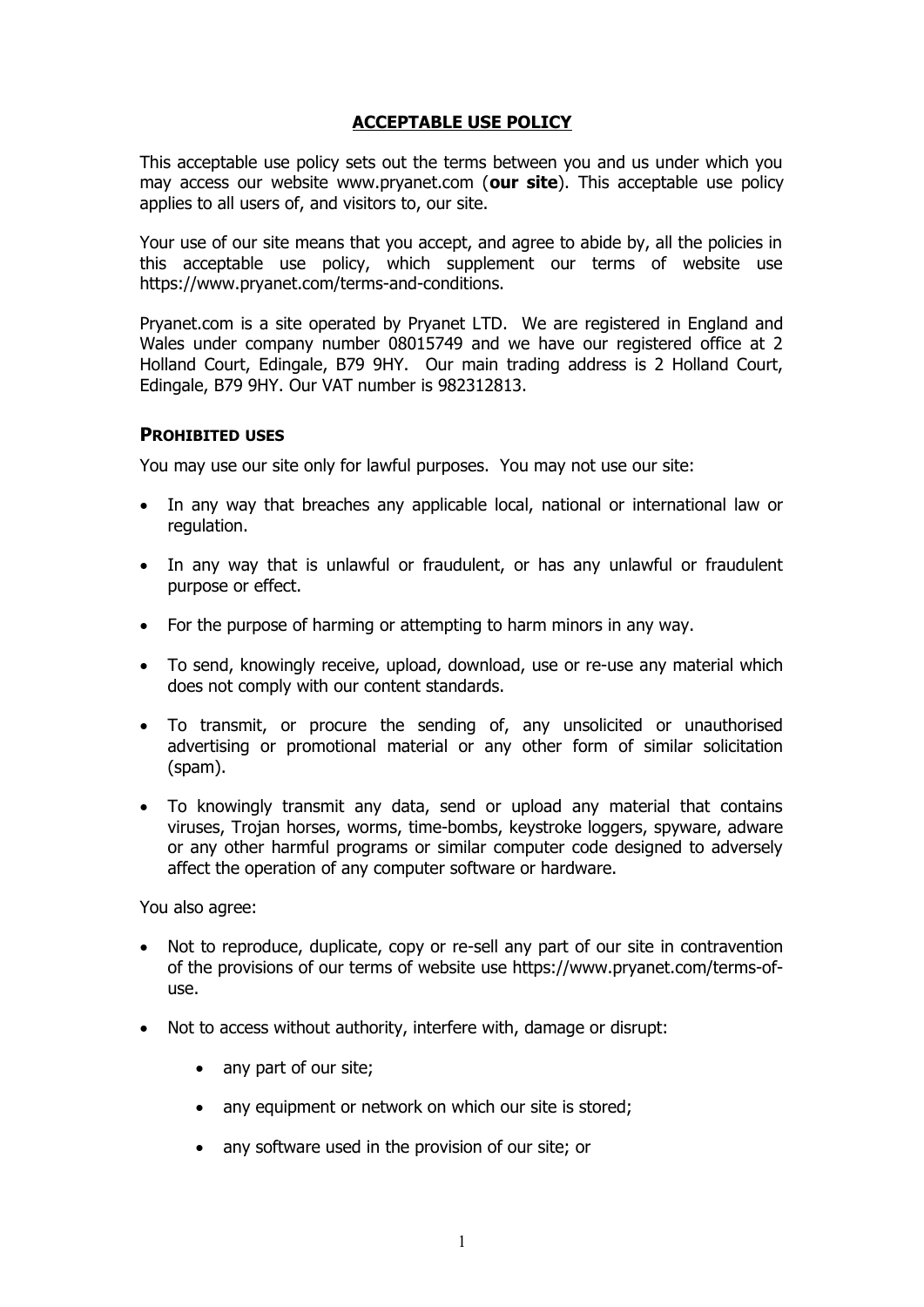# **ACCEPTABLE USE POLICY**

This acceptable use policy sets out the terms between you and us under which you may access our website www.pryanet.com (**our site**). This acceptable use policy applies to all users of, and visitors to, our site.

Your use of our site means that you accept, and agree to abide by, all the policies in this acceptable use policy, which supplement our terms of website use https://www.pryanet.com/terms-and-conditions.

Pryanet.com is a site operated by Pryanet LTD. We are registered in England and Wales under company number 08015749 and we have our registered office at 2 Holland Court, Edingale, B79 9HY. Our main trading address is 2 Holland Court, Edingale, B79 9HY. Our VAT number is 982312813.

#### **PROHIBITED USES**

You may use our site only for lawful purposes. You may not use our site:

- · In any way that breaches any applicable local, national or international law or regulation.
- · In any way that is unlawful or fraudulent, or has any unlawful or fraudulent purpose or effect.
- · For the purpose of harming or attempting to harm minors in any way.
- · To send, knowingly receive, upload, download, use or re-use any material which does not comply with our content standards.
- · To transmit, or procure the sending of, any unsolicited or unauthorised advertising or promotional material or any other form of similar solicitation (spam).
- · To knowingly transmit any data, send or upload any material that contains viruses, Trojan horses, worms, time-bombs, keystroke loggers, spyware, adware or any other harmful programs or similar computer code designed to adversely affect the operation of any computer software or hardware.

You also agree:

- · Not to reproduce, duplicate, copy or re-sell any part of our site in contravention of the provisions of our terms of website use https://www.pryanet.com/terms-ofuse.
- · Not to access without authority, interfere with, damage or disrupt:
	- any part of our site;
	- any equipment or network on which our site is stored;
	- · any software used in the provision of our site; or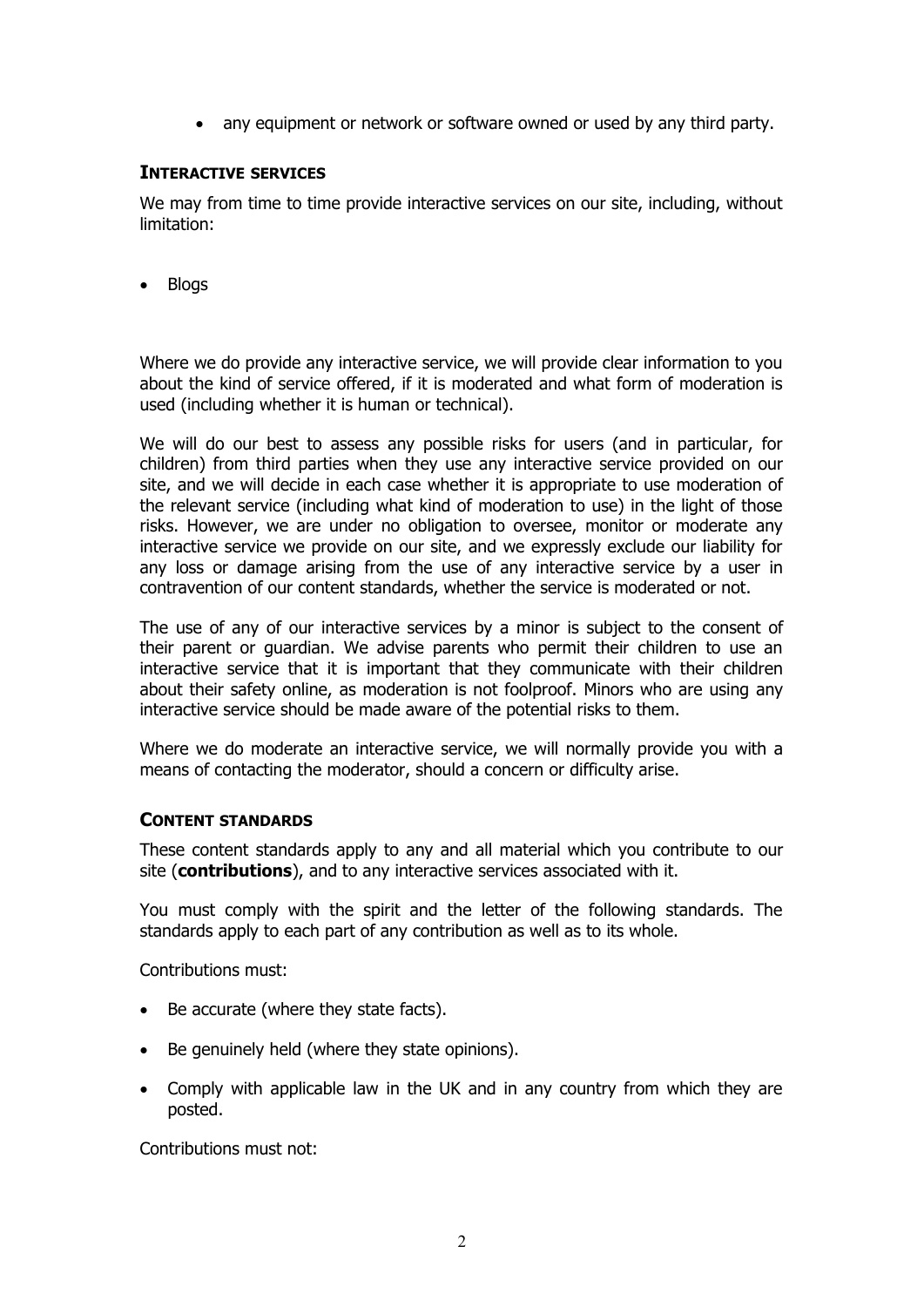· any equipment or network or software owned or used by any third party.

# **INTERACTIVE SERVICES**

We may from time to time provide interactive services on our site, including, without limitation:

· Blogs

Where we do provide any interactive service, we will provide clear information to you about the kind of service offered, if it is moderated and what form of moderation is used (including whether it is human or technical).

We will do our best to assess any possible risks for users (and in particular, for children) from third parties when they use any interactive service provided on our site, and we will decide in each case whether it is appropriate to use moderation of the relevant service (including what kind of moderation to use) in the light of those risks. However, we are under no obligation to oversee, monitor or moderate any interactive service we provide on our site, and we expressly exclude our liability for any loss or damage arising from the use of any interactive service by a user in contravention of our content standards, whether the service is moderated or not.

The use of any of our interactive services by a minor is subject to the consent of their parent or guardian. We advise parents who permit their children to use an interactive service that it is important that they communicate with their children about their safety online, as moderation is not foolproof. Minors who are using any interactive service should be made aware of the potential risks to them.

Where we do moderate an interactive service, we will normally provide you with a means of contacting the moderator, should a concern or difficulty arise.

### **CONTENT STANDARDS**

These content standards apply to any and all material which you contribute to our site (**contributions**), and to any interactive services associated with it.

You must comply with the spirit and the letter of the following standards. The standards apply to each part of any contribution as well as to its whole.

Contributions must:

- · Be accurate (where they state facts).
- Be genuinely held (where they state opinions).
- · Comply with applicable law in the UK and in any country from which they are posted.

Contributions must not: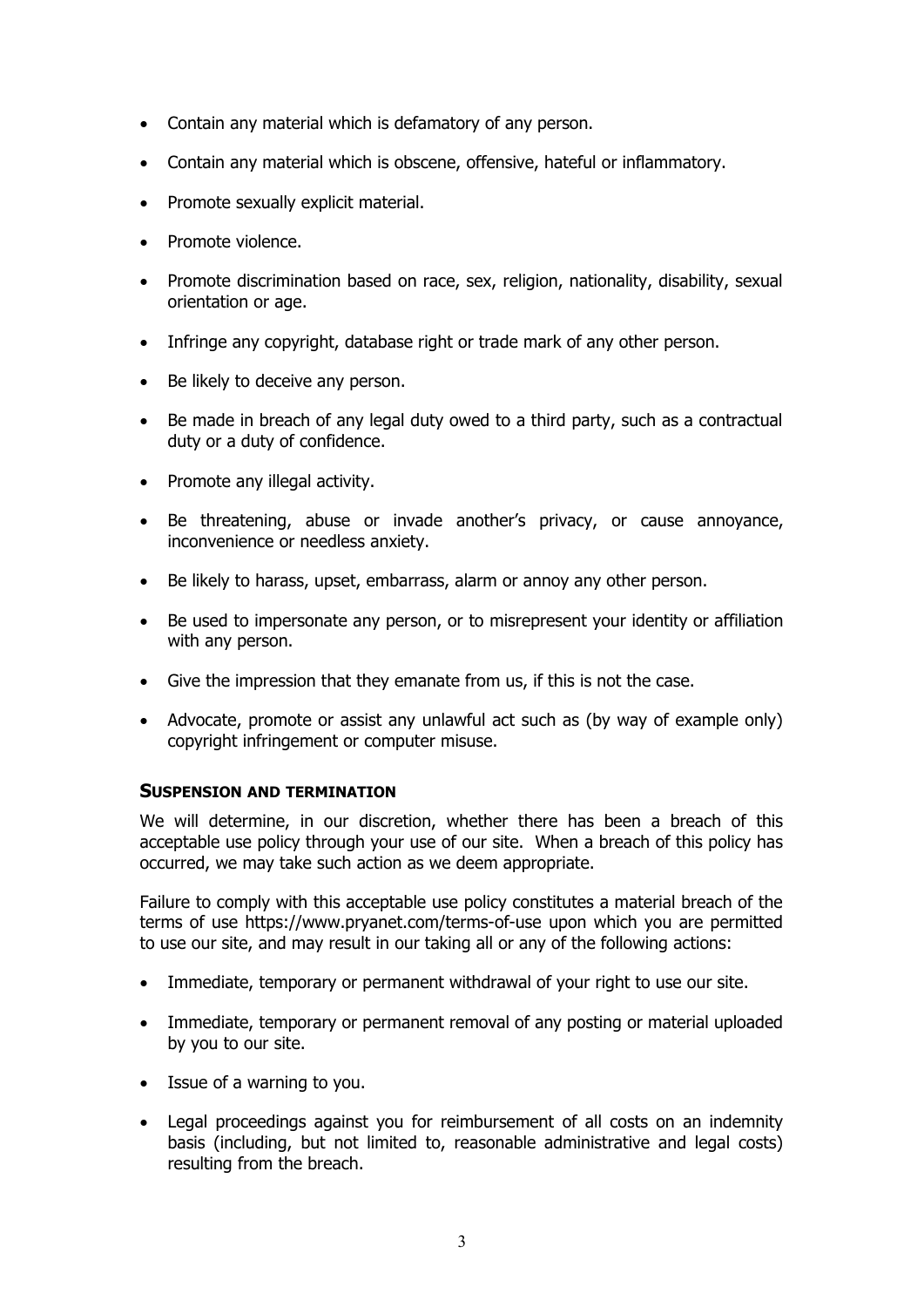- · Contain any material which is defamatory of any person.
- · Contain any material which is obscene, offensive, hateful or inflammatory.
- · Promote sexually explicit material.
- Promote violence.
- · Promote discrimination based on race, sex, religion, nationality, disability, sexual orientation or age.
- · Infringe any copyright, database right or trade mark of any other person.
- · Be likely to deceive any person.
- · Be made in breach of any legal duty owed to a third party, such as a contractual duty or a duty of confidence.
- · Promote any illegal activity.
- · Be threatening, abuse or invade another's privacy, or cause annoyance, inconvenience or needless anxiety.
- · Be likely to harass, upset, embarrass, alarm or annoy any other person.
- · Be used to impersonate any person, or to misrepresent your identity or affiliation with any person.
- · Give the impression that they emanate from us, if this is not the case.
- Advocate, promote or assist any unlawful act such as (by way of example only) copyright infringement or computer misuse.

### **SUSPENSION AND TERMINATION**

We will determine, in our discretion, whether there has been a breach of this acceptable use policy through your use of our site. When a breach of this policy has occurred, we may take such action as we deem appropriate.

Failure to comply with this acceptable use policy constitutes a material breach of the terms of use https://www.pryanet.com/terms-of-use upon which you are permitted to use our site, and may result in our taking all or any of the following actions:

- · Immediate, temporary or permanent withdrawal of your right to use our site.
- · Immediate, temporary or permanent removal of any posting or material uploaded by you to our site.
- · Issue of a warning to you.
- · Legal proceedings against you for reimbursement of all costs on an indemnity basis (including, but not limited to, reasonable administrative and legal costs) resulting from the breach.